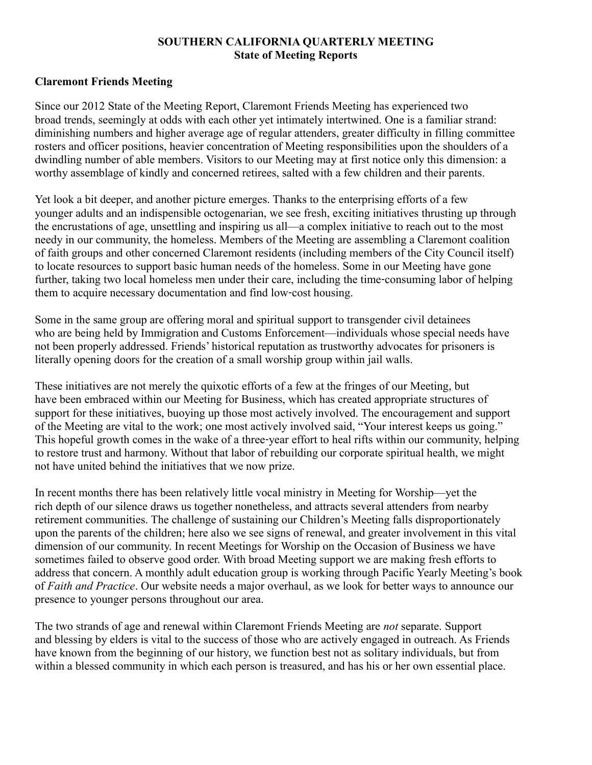#### **SOUTHERN CALIFORNIA QUARTERLY MEETING State of Meeting Reports**

#### **Claremont Friends Meeting**

Since our 2012 State of the Meeting Report, Claremont Friends Meeting has experienced two broad trends, seemingly at odds with each other yet intimately intertwined. One is a familiar strand: diminishing numbers and higher average age of regular attenders, greater difficulty in filling committee rosters and officer positions, heavier concentration of Meeting responsibilities upon the shoulders of a dwindling number of able members. Visitors to our Meeting may at first notice only this dimension: a worthy assemblage of kindly and concerned retirees, salted with a few children and their parents.

Yet look a bit deeper, and another picture emerges. Thanks to the enterprising efforts of a few younger adults and an indispensible octogenarian, we see fresh, exciting initiatives thrusting up through the encrustations of age, unsettling and inspiring us all—a complex initiative to reach out to the most needy in our community, the homeless. Members of the Meeting are assembling a Claremont coalition of faith groups and other concerned Claremont residents (including members of the City Council itself) to locate resources to support basic human needs of the homeless. Some in our Meeting have gone further, taking two local homeless men under their care, including the time-consuming labor of helping them to acquire necessary documentation and find low-cost housing.

Some in the same group are offering moral and spiritual support to transgender civil detainees who are being held by Immigration and Customs Enforcement—individuals whose special needs have not been properly addressed. Friends' historical reputation as trustworthy advocates for prisoners is literally opening doors for the creation of a small worship group within jail walls.

These initiatives are not merely the quixotic efforts of a few at the fringes of our Meeting, but have been embraced within our Meeting for Business, which has created appropriate structures of support for these initiatives, buoying up those most actively involved. The encouragement and support of the Meeting are vital to the work; one most actively involved said, "Your interest keeps us going." This hopeful growth comes in the wake of a three-year effort to heal rifts within our community, helping to restore trust and harmony. Without that labor of rebuilding our corporate spiritual health, we might not have united behind the initiatives that we now prize.

In recent months there has been relatively little vocal ministry in Meeting for Worship—yet the rich depth of our silence draws us together nonetheless, and attracts several attenders from nearby retirement communities. The challenge of sustaining our Children's Meeting falls disproportionately upon the parents of the children; here also we see signs of renewal, and greater involvement in this vital dimension of our community. In recent Meetings for Worship on the Occasion of Business we have sometimes failed to observe good order. With broad Meeting support we are making fresh efforts to address that concern. A monthly adult education group is working through Pacific Yearly Meeting's book of *Faith and Practice*. Our website needs a major overhaul, as we look for better ways to announce our presence to younger persons throughout our area.

The two strands of age and renewal within Claremont Friends Meeting are *not* separate. Support and blessing by elders is vital to the success of those who are actively engaged in outreach. As Friends have known from the beginning of our history, we function best not as solitary individuals, but from within a blessed community in which each person is treasured, and has his or her own essential place.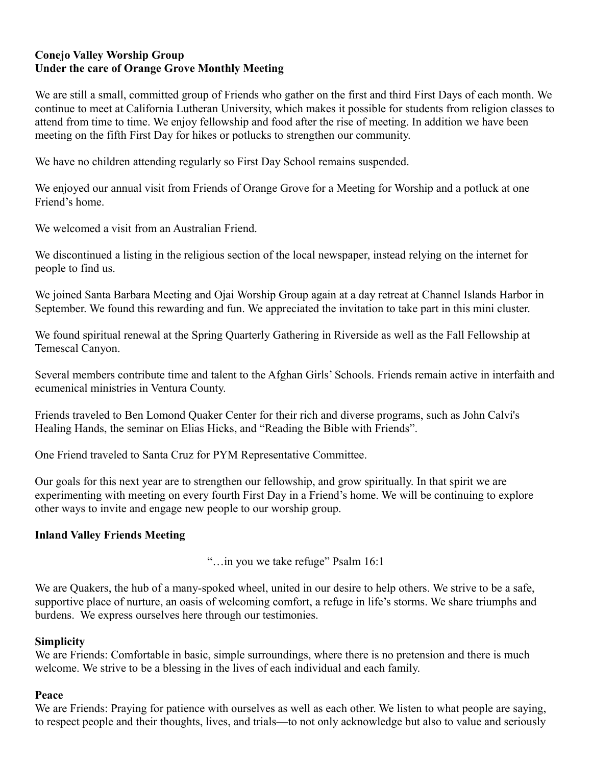## **Conejo Valley Worship Group Under the care of Orange Grove Monthly Meeting**

We are still a small, committed group of Friends who gather on the first and third First Days of each month. We continue to meet at California Lutheran University, which makes it possible for students from religion classes to attend from time to time. We enjoy fellowship and food after the rise of meeting. In addition we have been meeting on the fifth First Day for hikes or potlucks to strengthen our community.

We have no children attending regularly so First Day School remains suspended.

We enjoyed our annual visit from Friends of Orange Grove for a Meeting for Worship and a potluck at one Friend's home.

We welcomed a visit from an Australian Friend.

We discontinued a listing in the religious section of the local newspaper, instead relying on the internet for people to find us.

We joined Santa Barbara Meeting and Ojai Worship Group again at a day retreat at Channel Islands Harbor in September. We found this rewarding and fun. We appreciated the invitation to take part in this mini cluster.

We found spiritual renewal at the Spring Quarterly Gathering in Riverside as well as the Fall Fellowship at Temescal Canyon.

Several members contribute time and talent to the Afghan Girls' Schools. Friends remain active in interfaith and ecumenical ministries in Ventura County.

Friends traveled to Ben Lomond Quaker Center for their rich and diverse programs, such as John Calvi's Healing Hands, the seminar on Elias Hicks, and "Reading the Bible with Friends".

One Friend traveled to Santa Cruz for PYM Representative Committee.

Our goals for this next year are to strengthen our fellowship, and grow spiritually. In that spirit we are experimenting with meeting on every fourth First Day in a Friend's home. We will be continuing to explore other ways to invite and engage new people to our worship group.

#### **Inland Valley Friends Meeting**

"…in you we take refuge" Psalm 16:1

We are Quakers, the hub of a many-spoked wheel, united in our desire to help others. We strive to be a safe, supportive place of nurture, an oasis of welcoming comfort, a refuge in life's storms. We share triumphs and burdens. We express ourselves here through our testimonies.

#### **Simplicity**

We are Friends: Comfortable in basic, simple surroundings, where there is no pretension and there is much welcome. We strive to be a blessing in the lives of each individual and each family.

#### **Peace**

We are Friends: Praying for patience with ourselves as well as each other. We listen to what people are saying, to respect people and their thoughts, lives, and trials—to not only acknowledge but also to value and seriously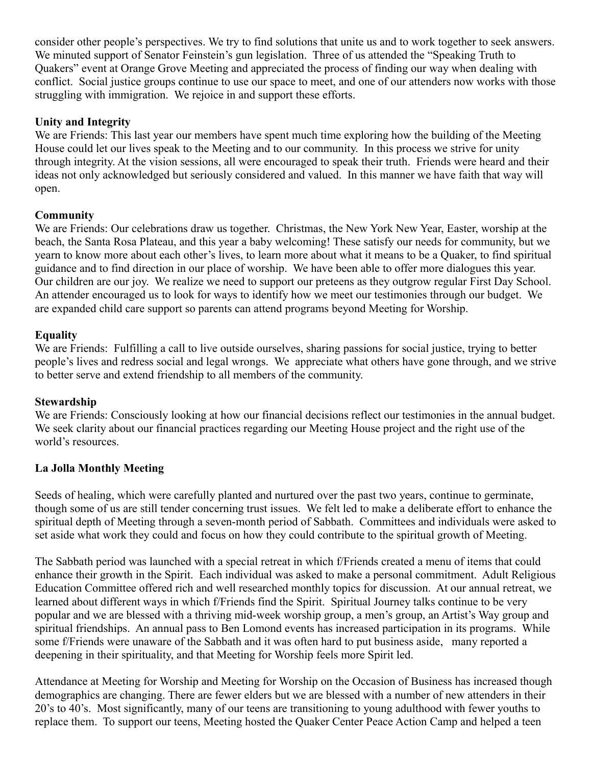consider other people's perspectives. We try to find solutions that unite us and to work together to seek answers. We minuted support of Senator Feinstein's gun legislation. Three of us attended the "Speaking Truth to Quakers" event at Orange Grove Meeting and appreciated the process of finding our way when dealing with conflict. Social justice groups continue to use our space to meet, and one of our attenders now works with those struggling with immigration. We rejoice in and support these efforts.

# **Unity and Integrity**

We are Friends: This last year our members have spent much time exploring how the building of the Meeting House could let our lives speak to the Meeting and to our community. In this process we strive for unity through integrity. At the vision sessions, all were encouraged to speak their truth. Friends were heard and their ideas not only acknowledged but seriously considered and valued. In this manner we have faith that way will open.

# **Community**

We are Friends: Our celebrations draw us together. Christmas, the New York New Year, Easter, worship at the beach, the Santa Rosa Plateau, and this year a baby welcoming! These satisfy our needs for community, but we yearn to know more about each other's lives, to learn more about what it means to be a Quaker, to find spiritual guidance and to find direction in our place of worship. We have been able to offer more dialogues this year. Our children are our joy. We realize we need to support our preteens as they outgrow regular First Day School. An attender encouraged us to look for ways to identify how we meet our testimonies through our budget. We are expanded child care support so parents can attend programs beyond Meeting for Worship.

### **Equality**

We are Friends: Fulfilling a call to live outside ourselves, sharing passions for social justice, trying to better people's lives and redress social and legal wrongs. We appreciate what others have gone through, and we strive to better serve and extend friendship to all members of the community.

### **Stewardship**

We are Friends: Consciously looking at how our financial decisions reflect our testimonies in the annual budget. We seek clarity about our financial practices regarding our Meeting House project and the right use of the world's resources.

### **La Jolla Monthly Meeting**

Seeds of healing, which were carefully planted and nurtured over the past two years, continue to germinate, though some of us are still tender concerning trust issues. We felt led to make a deliberate effort to enhance the spiritual depth of Meeting through a seven-month period of Sabbath. Committees and individuals were asked to set aside what work they could and focus on how they could contribute to the spiritual growth of Meeting.

The Sabbath period was launched with a special retreat in which f/Friends created a menu of items that could enhance their growth in the Spirit. Each individual was asked to make a personal commitment. Adult Religious Education Committee offered rich and well researched monthly topics for discussion. At our annual retreat, we learned about different ways in which f/Friends find the Spirit. Spiritual Journey talks continue to be very popular and we are blessed with a thriving mid-week worship group, a men's group, an Artist's Way group and spiritual friendships. An annual pass to Ben Lomond events has increased participation in its programs. While some f/Friends were unaware of the Sabbath and it was often hard to put business aside, many reported a deepening in their spirituality, and that Meeting for Worship feels more Spirit led.

Attendance at Meeting for Worship and Meeting for Worship on the Occasion of Business has increased though demographics are changing. There are fewer elders but we are blessed with a number of new attenders in their 20's to 40's. Most significantly, many of our teens are transitioning to young adulthood with fewer youths to replace them. To support our teens, Meeting hosted the Quaker Center Peace Action Camp and helped a teen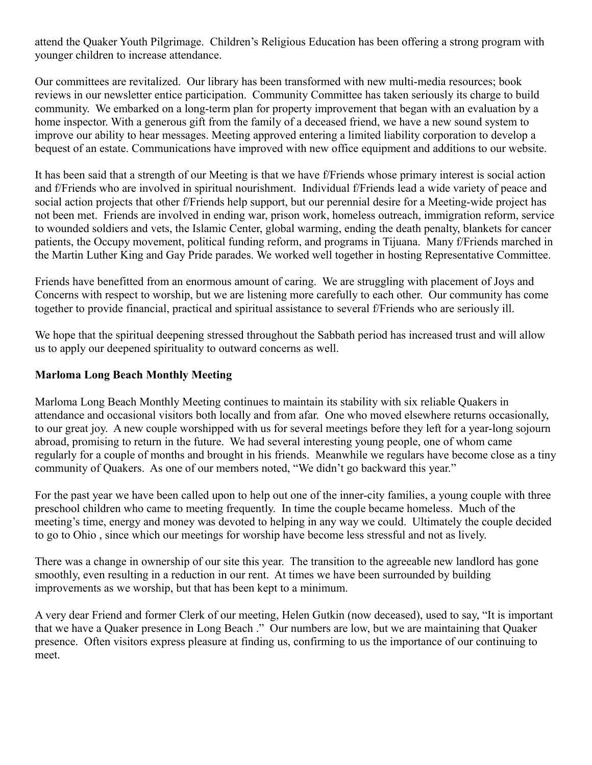attend the Quaker Youth Pilgrimage. Children's Religious Education has been offering a strong program with younger children to increase attendance.

Our committees are revitalized. Our library has been transformed with new multi-media resources; book reviews in our newsletter entice participation. Community Committee has taken seriously its charge to build community. We embarked on a long-term plan for property improvement that began with an evaluation by a home inspector. With a generous gift from the family of a deceased friend, we have a new sound system to improve our ability to hear messages. Meeting approved entering a limited liability corporation to develop a bequest of an estate. Communications have improved with new office equipment and additions to our website.

It has been said that a strength of our Meeting is that we have f/Friends whose primary interest is social action and f/Friends who are involved in spiritual nourishment. Individual f/Friends lead a wide variety of peace and social action projects that other f/Friends help support, but our perennial desire for a Meeting-wide project has not been met. Friends are involved in ending war, prison work, homeless outreach, immigration reform, service to wounded soldiers and vets, the Islamic Center, global warming, ending the death penalty, blankets for cancer patients, the Occupy movement, political funding reform, and programs in Tijuana. Many f/Friends marched in the Martin Luther King and Gay Pride parades. We worked well together in hosting Representative Committee.

Friends have benefitted from an enormous amount of caring. We are struggling with placement of Joys and Concerns with respect to worship, but we are listening more carefully to each other. Our community has come together to provide financial, practical and spiritual assistance to several f/Friends who are seriously ill.

We hope that the spiritual deepening stressed throughout the Sabbath period has increased trust and will allow us to apply our deepened spirituality to outward concerns as well.

### **Marloma Long Beach Monthly Meeting**

Marloma Long Beach Monthly Meeting continues to maintain its stability with six reliable Quakers in attendance and occasional visitors both locally and from afar. One who moved elsewhere returns occasionally, to our great joy. A new couple worshipped with us for several meetings before they left for a year-long sojourn abroad, promising to return in the future. We had several interesting young people, one of whom came regularly for a couple of months and brought in his friends. Meanwhile we regulars have become close as a tiny community of Quakers. As one of our members noted, "We didn't go backward this year."

For the past year we have been called upon to help out one of the inner-city families, a young couple with three preschool children who came to meeting frequently. In time the couple became homeless. Much of the meeting's time, energy and money was devoted to helping in any way we could. Ultimately the couple decided to go to Ohio , since which our meetings for worship have become less stressful and not as lively.

There was a change in ownership of our site this year. The transition to the agreeable new landlord has gone smoothly, even resulting in a reduction in our rent. At times we have been surrounded by building improvements as we worship, but that has been kept to a minimum.

A very dear Friend and former Clerk of our meeting, Helen Gutkin (now deceased), used to say, "It is important that we have a Quaker presence in Long Beach ." Our numbers are low, but we are maintaining that Quaker presence. Often visitors express pleasure at finding us, confirming to us the importance of our continuing to meet.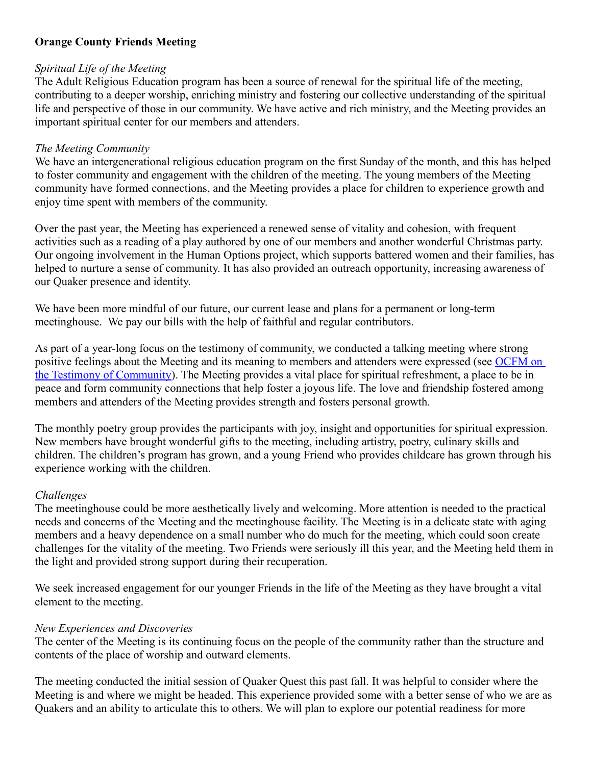# **Orange County Friends Meeting**

#### *Spiritual Life of the Meeting*

The Adult Religious Education program has been a source of renewal for the spiritual life of the meeting, contributing to a deeper worship, enriching ministry and fostering our collective understanding of the spiritual life and perspective of those in our community. We have active and rich ministry, and the Meeting provides an important spiritual center for our members and attenders.

#### *The Meeting Community*

We have an intergenerational religious education program on the first Sunday of the month, and this has helped to foster community and engagement with the children of the meeting. The young members of the Meeting community have formed connections, and the Meeting provides a place for children to experience growth and enjoy time spent with members of the community.

Over the past year, the Meeting has experienced a renewed sense of vitality and cohesion, with frequent activities such as a reading of a play authored by one of our members and another wonderful Christmas party. Our ongoing involvement in the Human Options project, which supports battered women and their families, has helped to nurture a sense of community. It has also provided an outreach opportunity, increasing awareness of our Quaker presence and identity.

We have been more mindful of our future, our current lease and plans for a permanent or long-term meetinghouse. We pay our bills with the help of faithful and regular contributors.

As part of a year-long focus on the testimony of community, we conducted a talking meeting where strong positive feelings about the Meeting and its meaning to members and attenders were expressed (see [OCFM on](http://www.orangecountyquakers.org/ocfm/general/documents/discussions/community-2012-10-28.htm%20) [the Testimony of Community\)](http://www.orangecountyquakers.org/ocfm/general/documents/discussions/community-2012-10-28.htm%20). The Meeting provides a vital place for spiritual refreshment, a place to be in peace and form community connections that help foster a joyous life. The love and friendship fostered among members and attenders of the Meeting provides strength and fosters personal growth.

The monthly poetry group provides the participants with joy, insight and opportunities for spiritual expression. New members have brought wonderful gifts to the meeting, including artistry, poetry, culinary skills and children. The children's program has grown, and a young Friend who provides childcare has grown through his experience working with the children.

### *Challenges*

The meetinghouse could be more aesthetically lively and welcoming. More attention is needed to the practical needs and concerns of the Meeting and the meetinghouse facility. The Meeting is in a delicate state with aging members and a heavy dependence on a small number who do much for the meeting, which could soon create challenges for the vitality of the meeting. Two Friends were seriously ill this year, and the Meeting held them in the light and provided strong support during their recuperation.

We seek increased engagement for our younger Friends in the life of the Meeting as they have brought a vital element to the meeting.

#### *New Experiences and Discoveries*

The center of the Meeting is its continuing focus on the people of the community rather than the structure and contents of the place of worship and outward elements.

The meeting conducted the initial session of Quaker Quest this past fall. It was helpful to consider where the Meeting is and where we might be headed. This experience provided some with a better sense of who we are as Quakers and an ability to articulate this to others. We will plan to explore our potential readiness for more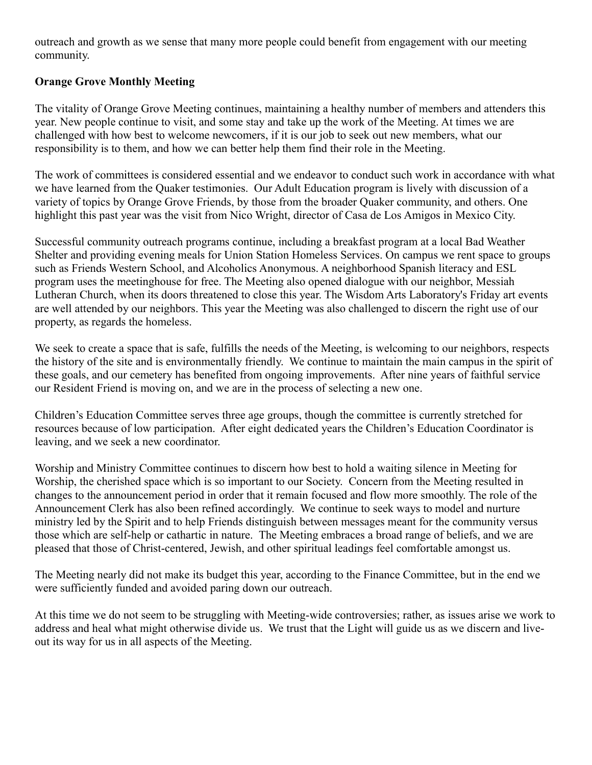outreach and growth as we sense that many more people could benefit from engagement with our meeting community.

# **Orange Grove Monthly Meeting**

The vitality of Orange Grove Meeting continues, maintaining a healthy number of members and attenders this year. New people continue to visit, and some stay and take up the work of the Meeting. At times we are challenged with how best to welcome newcomers, if it is our job to seek out new members, what our responsibility is to them, and how we can better help them find their role in the Meeting.

The work of committees is considered essential and we endeavor to conduct such work in accordance with what we have learned from the Quaker testimonies. Our Adult Education program is lively with discussion of a variety of topics by Orange Grove Friends, by those from the broader Quaker community, and others. One highlight this past year was the visit from Nico Wright, director of Casa de Los Amigos in Mexico City.

Successful community outreach programs continue, including a breakfast program at a local Bad Weather Shelter and providing evening meals for Union Station Homeless Services. On campus we rent space to groups such as Friends Western School, and Alcoholics Anonymous. A neighborhood Spanish literacy and ESL program uses the meetinghouse for free. The Meeting also opened dialogue with our neighbor, Messiah Lutheran Church, when its doors threatened to close this year. The Wisdom Arts Laboratory's Friday art events are well attended by our neighbors. This year the Meeting was also challenged to discern the right use of our property, as regards the homeless.

We seek to create a space that is safe, fulfills the needs of the Meeting, is welcoming to our neighbors, respects the history of the site and is environmentally friendly. We continue to maintain the main campus in the spirit of these goals, and our cemetery has benefited from ongoing improvements. After nine years of faithful service our Resident Friend is moving on, and we are in the process of selecting a new one.

Children's Education Committee serves three age groups, though the committee is currently stretched for resources because of low participation. After eight dedicated years the Children's Education Coordinator is leaving, and we seek a new coordinator.

Worship and Ministry Committee continues to discern how best to hold a waiting silence in Meeting for Worship, the cherished space which is so important to our Society. Concern from the Meeting resulted in changes to the announcement period in order that it remain focused and flow more smoothly. The role of the Announcement Clerk has also been refined accordingly. We continue to seek ways to model and nurture ministry led by the Spirit and to help Friends distinguish between messages meant for the community versus those which are self-help or cathartic in nature. The Meeting embraces a broad range of beliefs, and we are pleased that those of Christ-centered, Jewish, and other spiritual leadings feel comfortable amongst us.

The Meeting nearly did not make its budget this year, according to the Finance Committee, but in the end we were sufficiently funded and avoided paring down our outreach.

At this time we do not seem to be struggling with Meeting-wide controversies; rather, as issues arise we work to address and heal what might otherwise divide us. We trust that the Light will guide us as we discern and liveout its way for us in all aspects of the Meeting.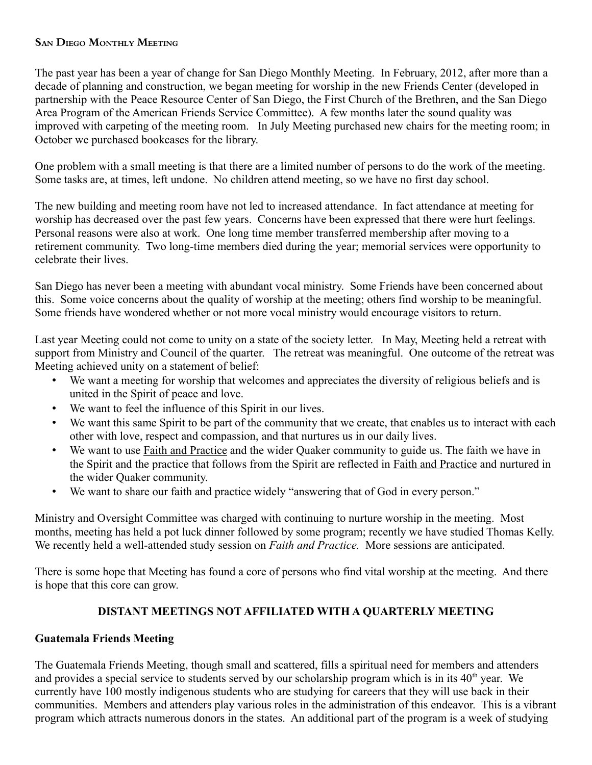### **SAN DIEGO MONTHLY MEETING**

The past year has been a year of change for San Diego Monthly Meeting. In February, 2012, after more than a decade of planning and construction, we began meeting for worship in the new Friends Center (developed in partnership with the Peace Resource Center of San Diego, the First Church of the Brethren, and the San Diego Area Program of the American Friends Service Committee). A few months later the sound quality was improved with carpeting of the meeting room. In July Meeting purchased new chairs for the meeting room; in October we purchased bookcases for the library.

One problem with a small meeting is that there are a limited number of persons to do the work of the meeting. Some tasks are, at times, left undone. No children attend meeting, so we have no first day school.

The new building and meeting room have not led to increased attendance. In fact attendance at meeting for worship has decreased over the past few years. Concerns have been expressed that there were hurt feelings. Personal reasons were also at work. One long time member transferred membership after moving to a retirement community. Two long-time members died during the year; memorial services were opportunity to celebrate their lives.

San Diego has never been a meeting with abundant vocal ministry. Some Friends have been concerned about this. Some voice concerns about the quality of worship at the meeting; others find worship to be meaningful. Some friends have wondered whether or not more vocal ministry would encourage visitors to return.

Last year Meeting could not come to unity on a state of the society letter. In May, Meeting held a retreat with support from Ministry and Council of the quarter. The retreat was meaningful. One outcome of the retreat was Meeting achieved unity on a statement of belief:

- We want a meeting for worship that welcomes and appreciates the diversity of religious beliefs and is united in the Spirit of peace and love.
- We want to feel the influence of this Spirit in our lives.
- We want this same Spirit to be part of the community that we create, that enables us to interact with each other with love, respect and compassion, and that nurtures us in our daily lives.
- We want to use Faith and Practice and the wider Quaker community to guide us. The faith we have in the Spirit and the practice that follows from the Spirit are reflected in Faith and Practice and nurtured in the wider Quaker community.
- We want to share our faith and practice widely "answering that of God in every person."

Ministry and Oversight Committee was charged with continuing to nurture worship in the meeting. Most months, meeting has held a pot luck dinner followed by some program; recently we have studied Thomas Kelly. We recently held a well-attended study session on *Faith and Practice.* More sessions are anticipated.

There is some hope that Meeting has found a core of persons who find vital worship at the meeting. And there is hope that this core can grow.

# **DISTANT MEETINGS NOT AFFILIATED WITH A QUARTERLY MEETING**

### **Guatemala Friends Meeting**

The Guatemala Friends Meeting, though small and scattered, fills a spiritual need for members and attenders and provides a special service to students served by our scholarship program which is in its  $40<sup>th</sup>$  year. We currently have 100 mostly indigenous students who are studying for careers that they will use back in their communities. Members and attenders play various roles in the administration of this endeavor. This is a vibrant program which attracts numerous donors in the states. An additional part of the program is a week of studying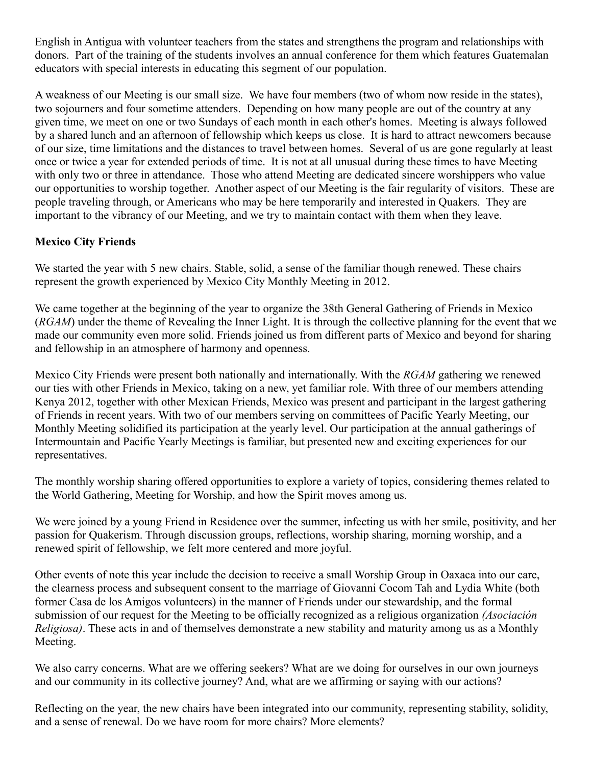English in Antigua with volunteer teachers from the states and strengthens the program and relationships with donors. Part of the training of the students involves an annual conference for them which features Guatemalan educators with special interests in educating this segment of our population.

A weakness of our Meeting is our small size. We have four members (two of whom now reside in the states), two sojourners and four sometime attenders. Depending on how many people are out of the country at any given time, we meet on one or two Sundays of each month in each other's homes. Meeting is always followed by a shared lunch and an afternoon of fellowship which keeps us close. It is hard to attract newcomers because of our size, time limitations and the distances to travel between homes. Several of us are gone regularly at least once or twice a year for extended periods of time. It is not at all unusual during these times to have Meeting with only two or three in attendance. Those who attend Meeting are dedicated sincere worshippers who value our opportunities to worship together. Another aspect of our Meeting is the fair regularity of visitors. These are people traveling through, or Americans who may be here temporarily and interested in Quakers. They are important to the vibrancy of our Meeting, and we try to maintain contact with them when they leave.

# **Mexico City Friends**

We started the year with 5 new chairs. Stable, solid, a sense of the familiar though renewed. These chairs represent the growth experienced by Mexico City Monthly Meeting in 2012.

We came together at the beginning of the year to organize the 38th General Gathering of Friends in Mexico (*RGAM*) under the theme of Revealing the Inner Light. It is through the collective planning for the event that we made our community even more solid. Friends joined us from different parts of Mexico and beyond for sharing and fellowship in an atmosphere of harmony and openness.

Mexico City Friends were present both nationally and internationally. With the *RGAM* gathering we renewed our ties with other Friends in Mexico, taking on a new, yet familiar role. With three of our members attending Kenya 2012, together with other Mexican Friends, Mexico was present and participant in the largest gathering of Friends in recent years. With two of our members serving on committees of Pacific Yearly Meeting, our Monthly Meeting solidified its participation at the yearly level. Our participation at the annual gatherings of Intermountain and Pacific Yearly Meetings is familiar, but presented new and exciting experiences for our representatives.

The monthly worship sharing offered opportunities to explore a variety of topics, considering themes related to the World Gathering, Meeting for Worship, and how the Spirit moves among us.

We were joined by a young Friend in Residence over the summer, infecting us with her smile, positivity, and her passion for Quakerism. Through discussion groups, reflections, worship sharing, morning worship, and a renewed spirit of fellowship, we felt more centered and more joyful.

Other events of note this year include the decision to receive a small Worship Group in Oaxaca into our care, the clearness process and subsequent consent to the marriage of Giovanni Cocom Tah and Lydia White (both former Casa de los Amigos volunteers) in the manner of Friends under our stewardship, and the formal submission of our request for the Meeting to be officially recognized as a religious organization *(Asociación Religiosa)*. These acts in and of themselves demonstrate a new stability and maturity among us as a Monthly Meeting.

We also carry concerns. What are we offering seekers? What are we doing for ourselves in our own journeys and our community in its collective journey? And, what are we affirming or saying with our actions?

Reflecting on the year, the new chairs have been integrated into our community, representing stability, solidity, and a sense of renewal. Do we have room for more chairs? More elements?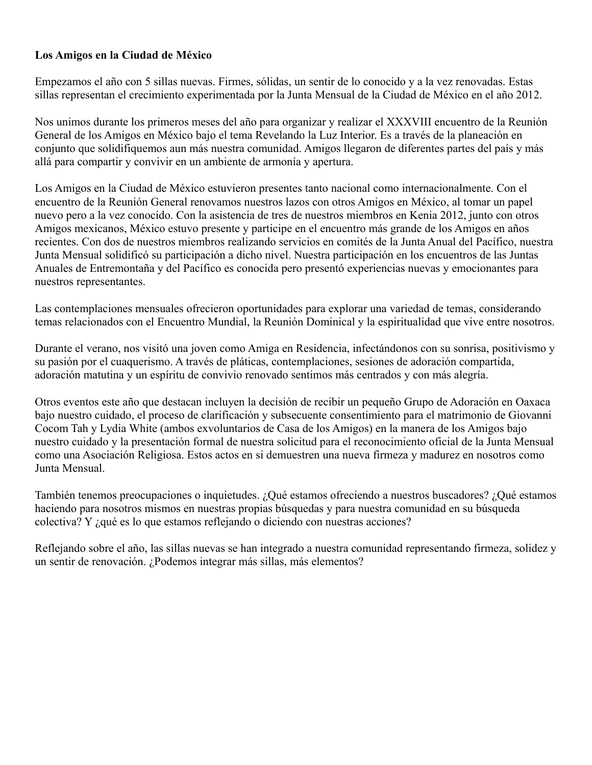### **Los Amigos en la Ciudad de México**

Empezamos el año con 5 sillas nuevas. Firmes, sólidas, un sentir de lo conocido y a la vez renovadas. Estas sillas representan el crecimiento experimentada por la Junta Mensual de la Ciudad de México en el año 2012.

Nos unimos durante los primeros meses del año para organizar y realizar el XXXVIII encuentro de la Reunión General de los Amigos en México bajo el tema Revelando la Luz Interior. Es a través de la planeación en conjunto que solidifiquemos aun más nuestra comunidad. Amigos llegaron de diferentes partes del país y más allá para compartir y convivir en un ambiente de armonía y apertura.

Los Amigos en la Ciudad de México estuvieron presentes tanto nacional como internacionalmente. Con el encuentro de la Reunión General renovamos nuestros lazos con otros Amigos en México, al tomar un papel nuevo pero a la vez conocido. Con la asistencia de tres de nuestros miembros en Kenia 2012, junto con otros Amigos mexicanos, México estuvo presente y participe en el encuentro más grande de los Amigos en años recientes. Con dos de nuestros miembros realizando servicios en comités de la Junta Anual del Pacífico, nuestra Junta Mensual solidificó su participación a dicho nivel. Nuestra participación en los encuentros de las Juntas Anuales de Entremontaña y del Pacífico es conocida pero presentó experiencias nuevas y emocionantes para nuestros representantes.

Las contemplaciones mensuales ofrecieron oportunidades para explorar una variedad de temas, considerando temas relacionados con el Encuentro Mundial, la Reunión Dominical y la espiritualidad que vive entre nosotros.

Durante el verano, nos visitó una joven como Amiga en Residencia, infectándonos con su sonrisa, positivismo y su pasión por el cuaquerismo. A través de pláticas, contemplaciones, sesiones de adoración compartida, adoración matutina y un espíritu de convivio renovado sentimos más centrados y con más alegría.

Otros eventos este año que destacan incluyen la decisión de recibir un pequeño Grupo de Adoración en Oaxaca bajo nuestro cuidado, el proceso de clarificación y subsecuente consentimiento para el matrimonio de Giovanni Cocom Tah y Lydia White (ambos exvoluntarios de Casa de los Amigos) en la manera de los Amigos bajo nuestro cuidado y la presentación formal de nuestra solicitud para el reconocimiento oficial de la Junta Mensual como una Asociación Religiosa. Estos actos en si demuestren una nueva firmeza y madurez en nosotros como Junta Mensual.

También tenemos preocupaciones o inquietudes. ¿Qué estamos ofreciendo a nuestros buscadores? ¿Qué estamos haciendo para nosotros mismos en nuestras propias búsquedas y para nuestra comunidad en su búsqueda colectiva? Y ¿qué es lo que estamos reflejando o diciendo con nuestras acciones?

Reflejando sobre el año, las sillas nuevas se han integrado a nuestra comunidad representando firmeza, solidez y un sentir de renovación. ¿Podemos integrar más sillas, más elementos?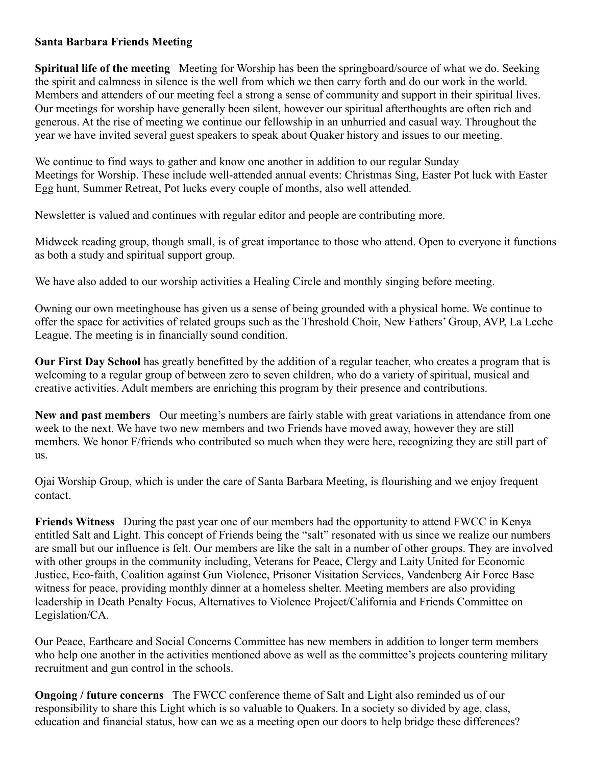# **Santa Barbara Friends Meeting**

**Spiritual life of the meeting** Meeting for Worship has been the springboard/source of what we do. Seeking the spirit and calmness in silence is the well from which we then carry forth and do our work in the world. Members and attenders of our meeting feel a strong a sense of community and support in their spiritual lives. Our meetings for worship have generally been silent, however our spiritual afterthoughts are often rich and generous. At the rise of meeting we continue our fellowship in an unhurried and casual way. Throughout the year we have invited several guest speakers to speak about Quaker history and issues to our meeting.

We continue to find ways to gather and know one another in addition to our regular Sunday Meetings for Worship. These include well-attended annual events: Christmas Sing, Easter Pot luck with Easter Egg hunt, Summer Retreat, Pot lucks every couple of months, also well attended.

Newsletter is valued and continues with regular editor and people are contributing more.

Midweek reading group, though small, is of great importance to those who attend. Open to everyone it functions as both a study and spiritual support group.

We have also added to our worship activities a Healing Circle and monthly singing before meeting.

Owning our own meetinghouse has given us a sense of being grounded with a physical home. We continue to offer the space for activities of related groups such as the Threshold Choir, New Fathers' Group, AVP, La Leche League. The meeting is in financially sound condition.

**Our First Day School** has greatly benefitted by the addition of a regular teacher, who creates a program that is welcoming to a regular group of between zero to seven children, who do a variety of spiritual, musical and creative activities. Adult members are enriching this program by their presence and contributions.

**New and past members** Our meeting's numbers are fairly stable with great variations in attendance from one week to the next. We have two new members and two Friends have moved away, however they are still members. We honor F/friends who contributed so much when they were here, recognizing they are still part of us.

Ojai Worship Group, which is under the care of Santa Barbara Meeting, is flourishing and we enjoy frequent contact.

**Friends Witness** During the past year one of our members had the opportunity to attend FWCC in Kenya entitled Salt and Light. This concept of Friends being the "salt" resonated with us since we realize our numbers are small but our influence is felt. Our members are like the salt in a number of other groups. They are involved with other groups in the community including, Veterans for Peace, Clergy and Laity United for Economic Justice, Eco-faith, Coalition against Gun Violence, Prisoner Visitation Services, Vandenberg Air Force Base witness for peace, providing monthly dinner at a homeless shelter. Meeting members are also providing leadership in Death Penalty Focus, Alternatives to Violence Project/California and Friends Committee on Legislation/CA.

Our Peace, Earthcare and Social Concerns Committee has new members in addition to longer term members who help one another in the activities mentioned above as well as the committee's projects countering military recruitment and gun control in the schools.

**Ongoing / future concerns** The FWCC conference theme of Salt and Light also reminded us of our responsibility to share this Light which is so valuable to Quakers. In a society so divided by age, class, education and financial status, how can we as a meeting open our doors to help bridge these differences?